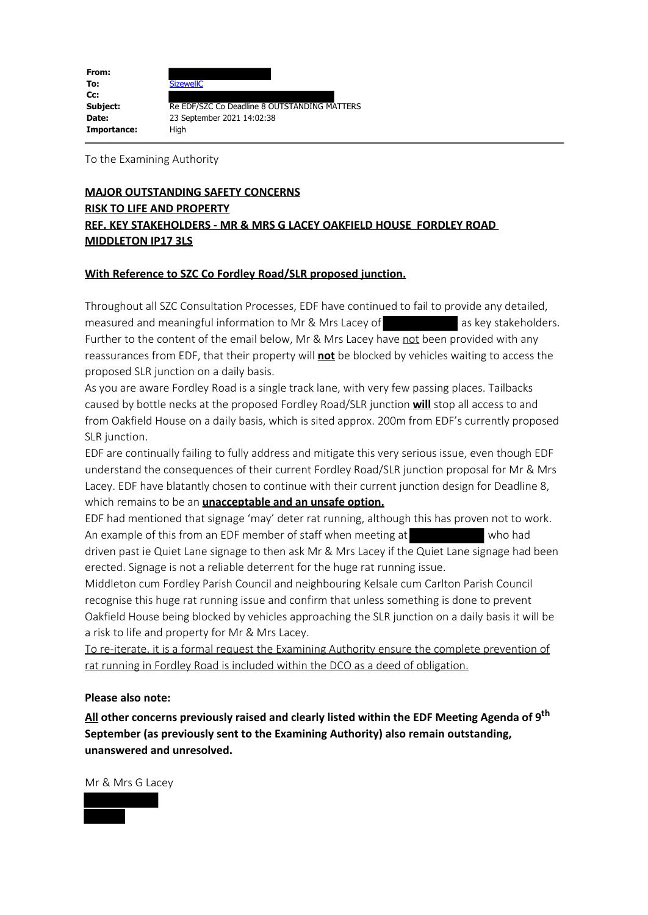| From:       |                                              |
|-------------|----------------------------------------------|
| To:         | <b>SizewellC</b>                             |
| Cc:         |                                              |
| Subject:    | Re EDF/SZC Co Deadline 8 OUTSTANDING MATTERS |
| Date:       | 23 September 2021 14:02:38                   |
| Importance: | Hiah                                         |

To the Examining Authority

# **MAJOR OUTSTANDING SAFETY CONCERNS RISK TO LIFE AND PROPERTY REF. KEY STAKEHOLDERS - MR & MRS G LACEY OAKFIELD HOUSE FORDLEY ROAD MIDDLETON IP17 3LS**

### **With Reference to SZC Co Fordley Road/SLR proposed junction.**

Throughout all SZC Consultation Processes, EDF have continued to fail to provide any detailed, measured and meaningful information to Mr & Mrs Lacey of as key stakeholders. Further to the content of the email below, Mr & Mrs Lacey have not been provided with any reassurances from EDF, that their property will **not** be blocked by vehicles waiting to access the proposed SLR junction on a daily basis.

As you are aware Fordley Road is a single track lane, with very few passing places. Tailbacks caused by bottle necks at the proposed Fordley Road/SLR junction **will** stop all access to and from Oakfield House on a daily basis, which is sited approx. 200m from EDF's currently proposed SLR junction.

EDF are continually failing to fully address and mitigate this very serious issue, even though EDF understand the consequences of their current Fordley Road/SLR junction proposal for Mr & Mrs Lacey. EDF have blatantly chosen to continue with their current junction design for Deadline 8, which remains to be an **unacceptable and an unsafe option.**

EDF had mentioned that signage 'may' deter rat running, although this has proven not to work. An example of this from an EDF member of staff when meeting at who had driven past ie Quiet Lane signage to then ask Mr & Mrs Lacey if the Quiet Lane signage had been erected. Signage is not a reliable deterrent for the huge rat running issue.

Middleton cum Fordley Parish Council and neighbouring Kelsale cum Carlton Parish Council recognise this huge rat running issue and confirm that unless something is done to prevent Oakfield House being blocked by vehicles approaching the SLR junction on a daily basis it will be a risk to life and property for Mr & Mrs Lacey.

To re-iterate, it is a formal request the Examining Authority ensure the complete prevention of rat running in Fordley Road is included within the DCO as a deed of obligation.

#### **Please also note:**

**All other concerns previously raised and clearly listed within the EDF Meeting Agenda of 9th September (as previously sent to the Examining Authority) also remain outstanding, unanswered and unresolved.**

Mr & Mrs G Lacey

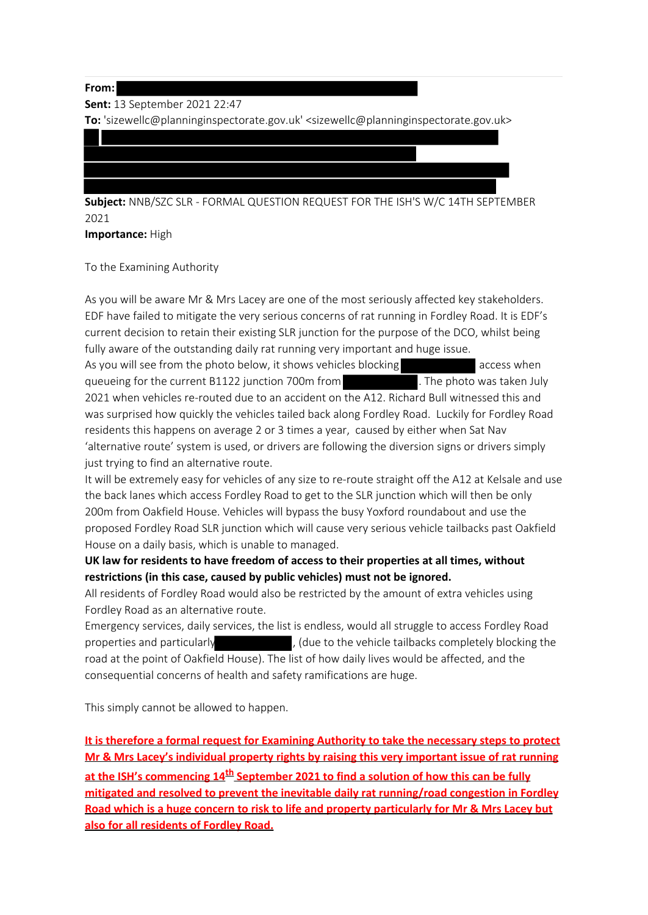#### **From:**

**Sent:** 13 September 2021 22:47

**To:** 'sizewellc@planninginspectorate.gov.uk' <sizewellc@planninginspectorate.gov.uk>

**Subject:** NNB/SZC SLR - FORMAL QUESTION REQUEST FOR THE ISH'S W/C 14TH SEPTEMBER 2021

**Importance:** High

To the Examining Authority

As you will be aware Mr & Mrs Lacey are one of the most seriously affected key stakeholders. EDF have failed to mitigate the very serious concerns of rat running in Fordley Road. It is EDF's current decision to retain their existing SLR junction for the purpose of the DCO, whilst being fully aware of the outstanding daily rat running very important and huge issue.

As you will see from the photo below, it shows vehicles blocking access when queueing for the current B1122 junction 700m from . The photo was taken July 2021 when vehicles re-routed due to an accident on the A12. Richard Bull witnessed this and was surprised how quickly the vehicles tailed back along Fordley Road. Luckily for Fordley Road residents this happens on average 2 or 3 times a year, caused by either when Sat Nav 'alternative route' system is used, or drivers are following the diversion signs or drivers simply just trying to find an alternative route.

It will be extremely easy for vehicles of any size to re-route straight off the A12 at Kelsale and use the back lanes which access Fordley Road to get to the SLR junction which will then be only 200m from Oakfield House. Vehicles will bypass the busy Yoxford roundabout and use the proposed Fordley Road SLR junction which will cause very serious vehicle tailbacks past Oakfield House on a daily basis, which is unable to managed.

**UK law for residents to have freedom of access to their properties at all times, without restrictions (in this case, caused by public vehicles) must not be ignored.**

All residents of Fordley Road would also be restricted by the amount of extra vehicles using Fordley Road as an alternative route.

Emergency services, daily services, the list is endless, would all struggle to access Fordley Road properties and particularly , (due to the vehicle tailbacks completely blocking the road at the point of Oakfield House). The list of how daily lives would be affected, and the consequential concerns of health and safety ramifications are huge.

This simply cannot be allowed to happen.

**It is therefore a formal request for Examining Authority to take the necessary steps to protect Mr & Mrs Lacey's individual property rights by raising this very important issue of rat running** at the ISH's commencing 14<sup>th</sup> September 2021 to find a solution of how this can be fully **mitigated and resolved to prevent the inevitable daily rat running/road congestion in Fordley Road which is a huge concern to risk to life and property particularly for Mr & Mrs Lacey but also for all residents of Fordley Road.**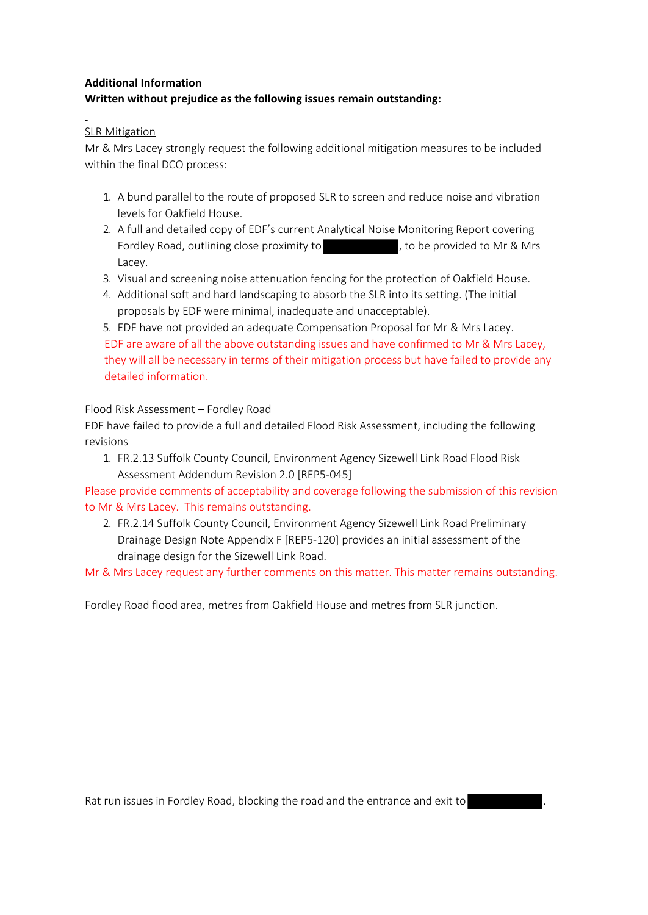### **Additional Information**

## **Written without prejudice as the following issues remain outstanding:**

## SLR Mitigation

Mr & Mrs Lacey strongly request the following additional mitigation measures to be included within the final DCO process:

- 1. A bund parallel to the route of proposed SLR to screen and reduce noise and vibration levels for Oakfield House.
- 2. A full and detailed copy of EDF's current Analytical Noise Monitoring Report covering Fordley Road, outlining close proximity to the new to be provided to Mr & Mrs Lacey.
- 3. Visual and screening noise attenuation fencing for the protection of Oakfield House.
- 4. Additional soft and hard landscaping to absorb the SLR into its setting. (The initial proposals by EDF were minimal, inadequate and unacceptable).

5. EDF have not provided an adequate Compensation Proposal for Mr & Mrs Lacey. EDF are aware of all the above outstanding issues and have confirmed to Mr & Mrs Lacey, they will all be necessary in terms of their mitigation process but have failed to provide any detailed information.

## Flood Risk Assessment – Fordley Road

EDF have failed to provide a full and detailed Flood Risk Assessment, including the following revisions

1. FR.2.13 Suffolk County Council, Environment Agency Sizewell Link Road Flood Risk Assessment Addendum Revision 2.0 [REP5-045]

Please provide comments of acceptability and coverage following the submission of this revision to Mr & Mrs Lacey. This remains outstanding.

2. FR.2.14 Suffolk County Council, Environment Agency Sizewell Link Road Preliminary Drainage Design Note Appendix F [REP5-120] provides an initial assessment of the drainage design for the Sizewell Link Road.

Mr & Mrs Lacey request any further comments on this matter. This matter remains outstanding.

Fordley Road flood area, metres from Oakfield House and metres from SLR junction.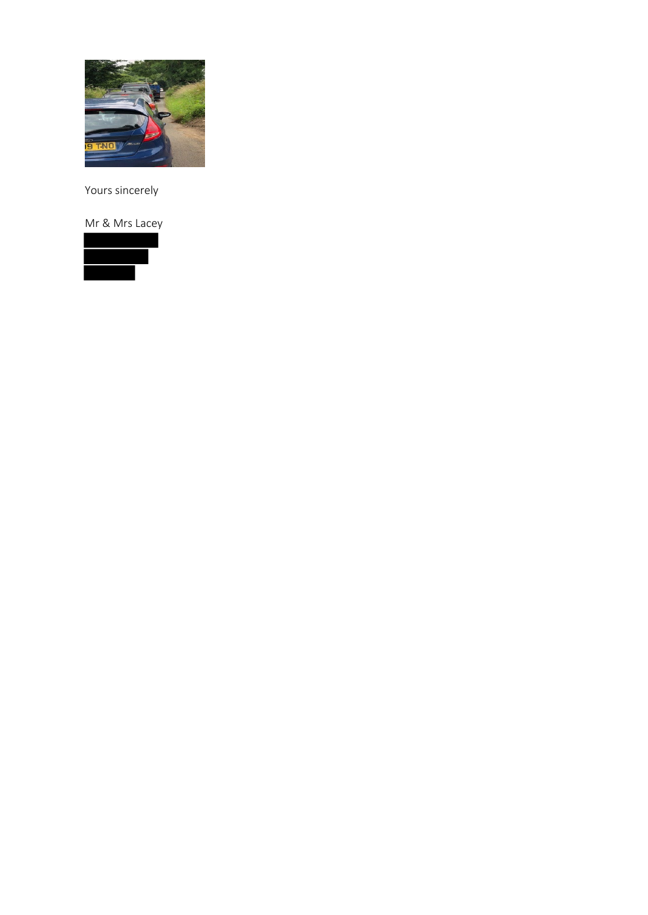

Yours sincerely

Mr & Mrs Lacey